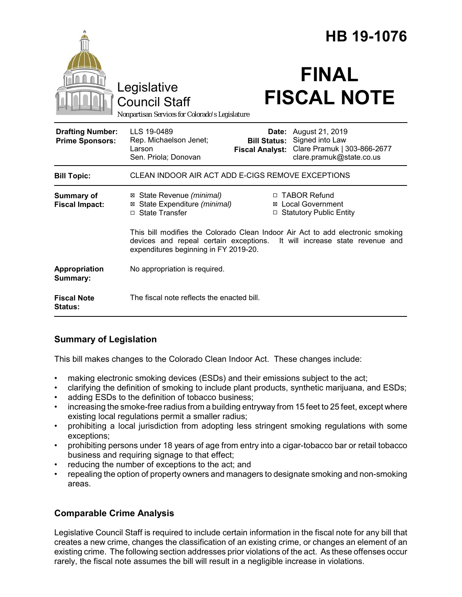|                                                   |                                                                                                                                                                                                         | HB 19-1076                                             |                                                                                               |
|---------------------------------------------------|---------------------------------------------------------------------------------------------------------------------------------------------------------------------------------------------------------|--------------------------------------------------------|-----------------------------------------------------------------------------------------------|
|                                                   | Legislative<br><b>Council Staff</b><br>Nonpartisan Services for Colorado's Legislature                                                                                                                  |                                                        | <b>FINAL</b><br><b>FISCAL NOTE</b>                                                            |
| <b>Drafting Number:</b><br><b>Prime Sponsors:</b> | LLS 19-0489<br>Rep. Michaelson Jenet;<br>Larson<br>Sen. Priola; Donovan                                                                                                                                 | Date:<br><b>Bill Status:</b><br><b>Fiscal Analyst:</b> | August 21, 2019<br>Signed into Law<br>Clare Pramuk   303-866-2677<br>clare.pramuk@state.co.us |
| <b>Bill Topic:</b>                                | CLEAN INDOOR AIR ACT ADD E-CIGS REMOVE EXCEPTIONS                                                                                                                                                       |                                                        |                                                                                               |
| <b>Summary of</b><br><b>Fiscal Impact:</b>        | ⊠ State Revenue (minimal)<br>State Expenditure (minimal)<br>⊠<br>□ State Transfer                                                                                                                       |                                                        | □ TABOR Refund<br>⊠ Local Government<br>□ Statutory Public Entity                             |
|                                                   | This bill modifies the Colorado Clean Indoor Air Act to add electronic smoking<br>devices and repeal certain exceptions.<br>It will increase state revenue and<br>expenditures beginning in FY 2019-20. |                                                        |                                                                                               |
| Appropriation<br>Summary:                         | No appropriation is required.                                                                                                                                                                           |                                                        |                                                                                               |
| <b>Fiscal Note</b><br><b>Status:</b>              | The fiscal note reflects the enacted bill.                                                                                                                                                              |                                                        |                                                                                               |

# **Summary of Legislation**

This bill makes changes to the Colorado Clean Indoor Act. These changes include:

- making electronic smoking devices (ESDs) and their emissions subject to the act;
- clarifying the definition of smoking to include plant products, synthetic marijuana, and ESDs;
- adding ESDs to the definition of tobacco business;
- increasing the smoke-free radius from a building entryway from 15 feet to 25 feet, except where existing local regulations permit a smaller radius;
- prohibiting a local jurisdiction from adopting less stringent smoking regulations with some exceptions;
- prohibiting persons under 18 years of age from entry into a cigar-tobacco bar or retail tobacco business and requiring signage to that effect;
- reducing the number of exceptions to the act; and
- repealing the option of property owners and managers to designate smoking and non-smoking areas.

# **Comparable Crime Analysis**

Legislative Council Staff is required to include certain information in the fiscal note for any bill that creates a new crime, changes the classification of an existing crime, or changes an element of an existing crime. The following section addresses prior violations of the act. As these offenses occur rarely, the fiscal note assumes the bill will result in a negligible increase in violations.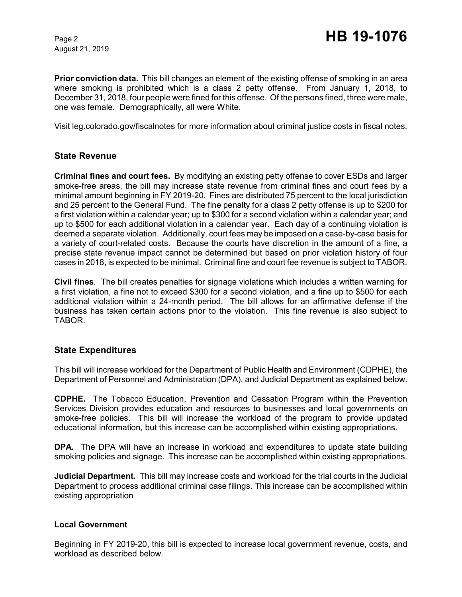August 21, 2019

**Prior conviction data.** This bill changes an element of the existing offense of smoking in an area where smoking is prohibited which is a class 2 petty offense. From January 1, 2018, to December 31, 2018, four people were fined for this offense. Of the persons fined, three were male, one was female. Demographically, all were White.

Visit leg.colorado.gov/fiscalnotes for more information about criminal justice costs in fiscal notes.

### **State Revenue**

**Criminal fines and court fees.** By modifying an existing petty offense to cover ESDs and larger smoke-free areas, the bill may increase state revenue from criminal fines and court fees by a minimal amount beginning in FY 2019-20. Fines are distributed 75 percent to the local jurisdiction and 25 percent to the General Fund. The fine penalty for a class 2 petty offense is up to \$200 for a first violation within a calendar year; up to \$300 for a second violation within a calendar year; and up to \$500 for each additional violation in a calendar year. Each day of a continuing violation is deemed a separate violation. Additionally, court fees may be imposed on a case-by-case basis for a variety of court-related costs. Because the courts have discretion in the amount of a fine, a precise state revenue impact cannot be determined but based on prior violation history of four cases in 2018, is expected to be minimal. Criminal fine and court fee revenue is subject to TABOR.

**Civil fines**. The bill creates penalties for signage violations which includes a written warning for a first violation, a fine not to exceed \$300 for a second violation, and a fine up to \$500 for each additional violation within a 24-month period. The bill allows for an affirmative defense if the business has taken certain actions prior to the violation. This fine revenue is also subject to TABOR.

### **State Expenditures**

This bill will increase workload for the Department of Public Health and Environment (CDPHE), the Department of Personnel and Administration (DPA), and Judicial Department as explained below.

**CDPHE.** The Tobacco Education, Prevention and Cessation Program within the Prevention Services Division provides education and resources to businesses and local governments on smoke-free policies. This bill will increase the workload of the program to provide updated educational information, but this increase can be accomplished within existing appropriations.

**DPA.** The DPA will have an increase in workload and expenditures to update state building smoking policies and signage. This increase can be accomplished within existing appropriations.

**Judicial Department***.* This bill may increase costs and workload for the trial courts in the Judicial Department to process additional criminal case filings. This increase can be accomplished within existing appropriation

#### **Local Government**

Beginning in FY 2019-20, this bill is expected to increase local government revenue, costs, and workload as described below.